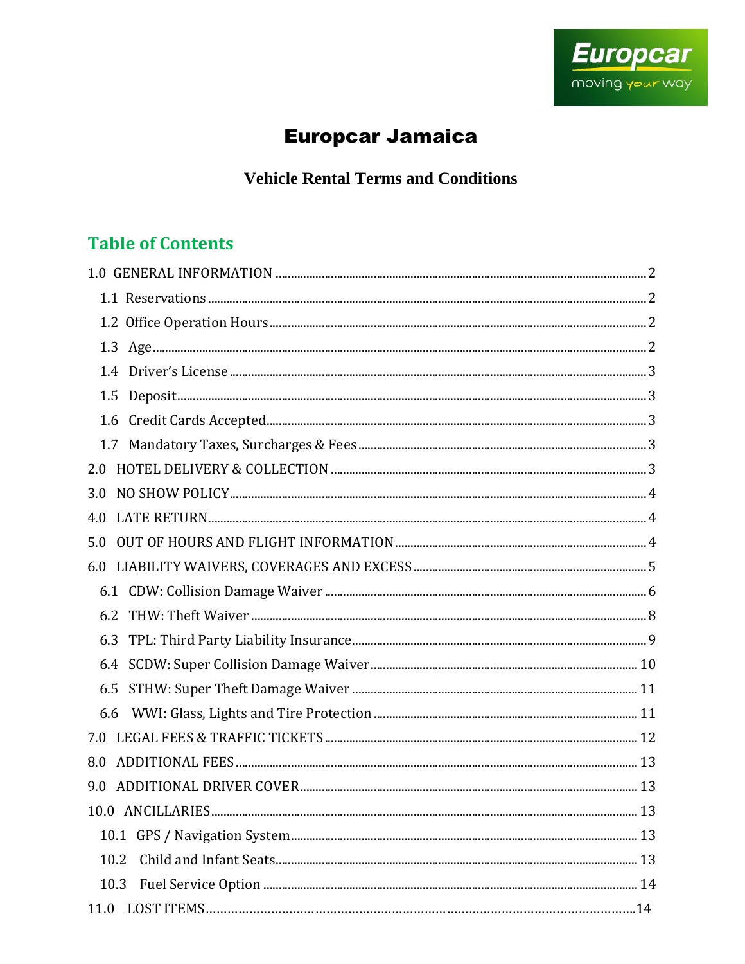

# **Europcar Jamaica**

**Vehicle Rental Terms and Conditions** 

# **Table of Contents**

| 2.0  |  |
|------|--|
| 3.0  |  |
| 4.0  |  |
| 5.0  |  |
| 6.0  |  |
|      |  |
| 6.2  |  |
|      |  |
|      |  |
| 6.5  |  |
| 6.6  |  |
|      |  |
| 8.0  |  |
| 9.0  |  |
|      |  |
|      |  |
| 10.2 |  |
| 10.3 |  |
| 11.0 |  |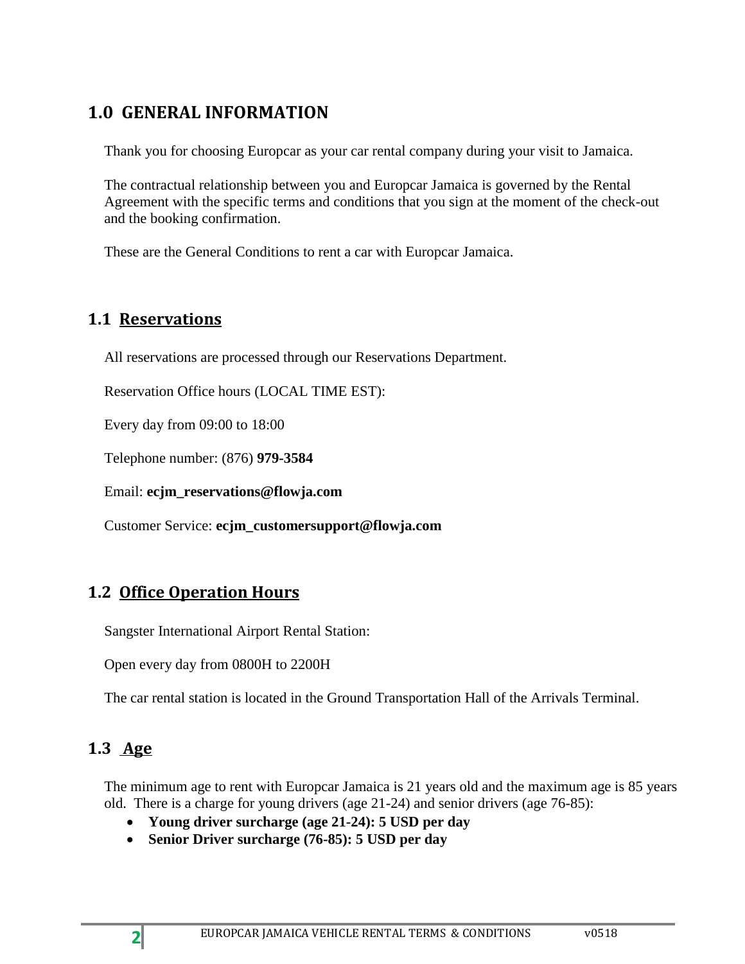# <span id="page-1-0"></span>**1.0 GENERAL INFORMATION**

Thank you for choosing Europcar as your car rental company during your visit to Jamaica.

The contractual relationship between you and Europcar Jamaica is governed by the Rental Agreement with the specific terms and conditions that you sign at the moment of the check-out and the booking confirmation.

These are the General Conditions to rent a car with Europcar Jamaica.

### <span id="page-1-1"></span>**1.1 Reservations**

All reservations are processed through our Reservations Department.

Reservation Office hours (LOCAL TIME EST):

Every day from 09:00 to 18:00

Telephone number: (876) **979-3584**

Email: **ecjm\_reservations@flowja.com**

Customer Service: **ecjm\_customersupport@flowja.com**

## <span id="page-1-2"></span>**1.2 Office Operation Hours**

Sangster International Airport Rental Station:

Open every day from 0800H to 2200H

The car rental station is located in the Ground Transportation Hall of the Arrivals Terminal.

## <span id="page-1-3"></span>**1.3 Age**

The minimum age to rent with Europcar Jamaica is 21 years old and the maximum age is 85 years old. There is a charge for young drivers (age 21-24) and senior drivers (age 76-85):

- **Young driver surcharge (age 21-24): 5 USD per day**
- **Senior Driver surcharge (76-85): 5 USD per day**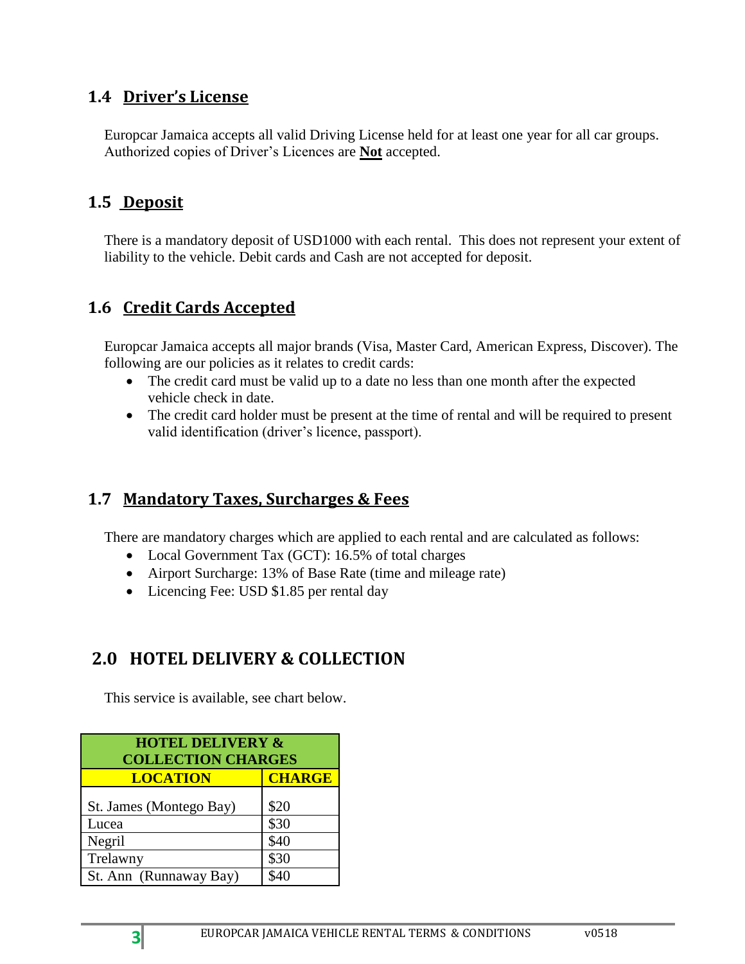### <span id="page-2-0"></span>**1.4 Driver's License**

Europcar Jamaica accepts all valid Driving License held for at least one year for all car groups. Authorized copies of Driver's Licences are **Not** accepted.

## <span id="page-2-1"></span>**1.5 Deposit**

There is a mandatory deposit of USD1000 with each rental. This does not represent your extent of liability to the vehicle. Debit cards and Cash are not accepted for deposit.

## <span id="page-2-2"></span>**1.6 Credit Cards Accepted**

Europcar Jamaica accepts all major brands (Visa, Master Card, American Express, Discover). The following are our policies as it relates to credit cards:

- The credit card must be valid up to a date no less than one month after the expected vehicle check in date.
- The credit card holder must be present at the time of rental and will be required to present valid identification (driver's licence, passport).

## <span id="page-2-3"></span>**1.7 Mandatory Taxes, Surcharges & Fees**

There are mandatory charges which are applied to each rental and are calculated as follows:

- Local Government Tax (GCT): 16.5% of total charges
- Airport Surcharge: 13% of Base Rate (time and mileage rate)
- Licencing Fee: USD \$1.85 per rental day

## <span id="page-2-4"></span>**2.0 HOTEL DELIVERY & COLLECTION**

This service is available, see chart below.

| <b>HOTEL DELIVERY &amp;</b><br><b>COLLECTION CHARGES</b> |               |  |
|----------------------------------------------------------|---------------|--|
| <b>LOCATION</b>                                          | <b>CHARGE</b> |  |
| St. James (Montego Bay)                                  | \$20          |  |
| Lucea                                                    | \$30          |  |
| Negril                                                   | \$40          |  |
| Trelawny                                                 | \$30          |  |
| St. Ann (Runnaway Bay)                                   | \$40          |  |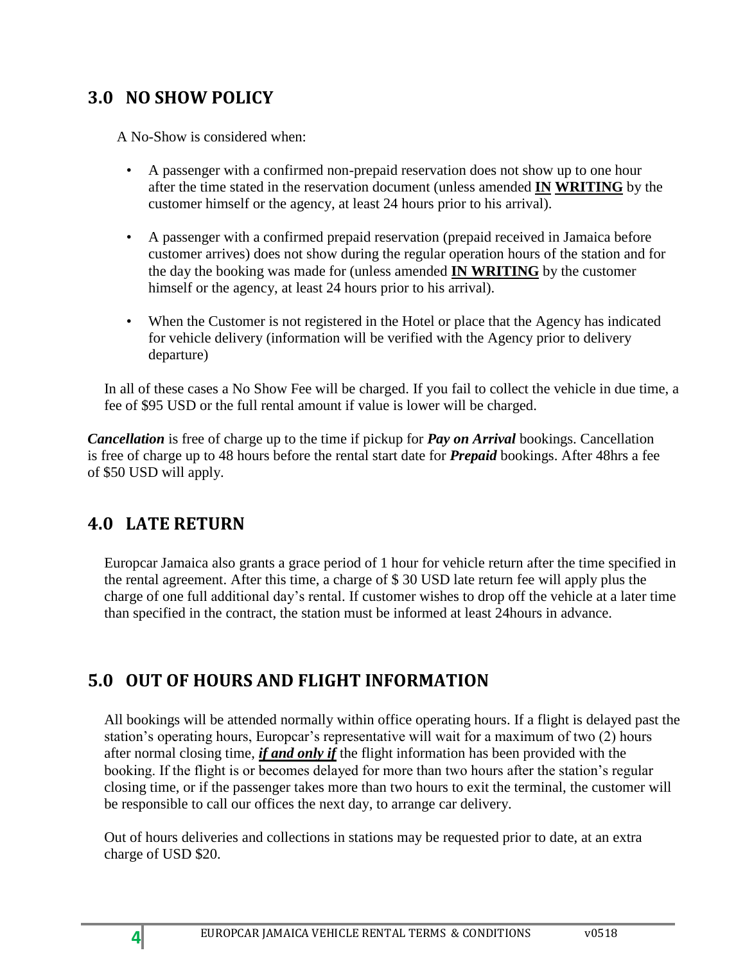## <span id="page-3-0"></span>**3.0 NO SHOW POLICY**

A No-Show is considered when:

- A passenger with a confirmed non-prepaid reservation does not show up to one hour after the time stated in the reservation document (unless amended **IN WRITING** by the customer himself or the agency, at least 24 hours prior to his arrival).
- A passenger with a confirmed prepaid reservation (prepaid received in Jamaica before customer arrives) does not show during the regular operation hours of the station and for the day the booking was made for (unless amended **IN WRITING** by the customer himself or the agency, at least 24 hours prior to his arrival).
- When the Customer is not registered in the Hotel or place that the Agency has indicated for vehicle delivery (information will be verified with the Agency prior to delivery departure)

In all of these cases a No Show Fee will be charged. If you fail to collect the vehicle in due time, a fee of \$95 USD or the full rental amount if value is lower will be charged.

*Cancellation* is free of charge up to the time if pickup for *Pay on Arrival* bookings. Cancellation is free of charge up to 48 hours before the rental start date for *Prepaid* bookings. After 48hrs a fee of \$50 USD will apply.

# <span id="page-3-1"></span>**4.0 LATE RETURN**

Europcar Jamaica also grants a grace period of 1 hour for vehicle return after the time specified in the rental agreement. After this time, a charge of \$ 30 USD late return fee will apply plus the charge of one full additional day's rental. If customer wishes to drop off the vehicle at a later time than specified in the contract, the station must be informed at least 24hours in advance.

# <span id="page-3-2"></span>**5.0 OUT OF HOURS AND FLIGHT INFORMATION**

All bookings will be attended normally within office operating hours. If a flight is delayed past the station's operating hours, Europcar's representative will wait for a maximum of two (2) hours after normal closing time, *if and only if* the flight information has been provided with the booking. If the flight is or becomes delayed for more than two hours after the station's regular closing time, or if the passenger takes more than two hours to exit the terminal, the customer will be responsible to call our offices the next day, to arrange car delivery.

Out of hours deliveries and collections in stations may be requested prior to date, at an extra charge of USD \$20.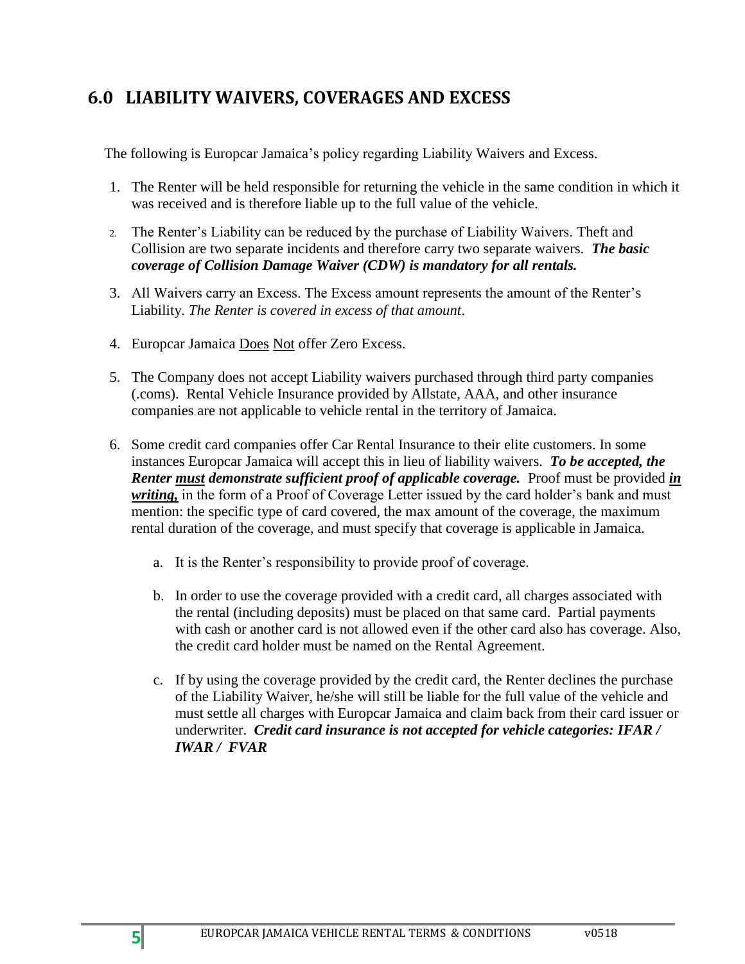# <span id="page-4-0"></span>**6.0 LIABILITY WAIVERS, COVERAGES AND EXCESS**

The following is Europcar Jamaica's policy regarding Liability Waivers and Excess.

- 1. The Renter will be held responsible for returning the vehicle in the same condition in which it was received and is therefore liable up to the full value of the vehicle.
- 2. The Renter's Liability can be reduced by the purchase of Liability Waivers. Theft and Collision are two separate incidents and therefore carry two separate waivers. *The basic coverage of Collision Damage Waiver (CDW) is mandatory for all rentals.*
- 3. All Waivers carry an Excess. The Excess amount represents the amount of the Renter's Liability. *The Renter is covered in excess of that amount*.
- 4. Europcar Jamaica Does Not offer Zero Excess.
- 5. The Company does not accept Liability waivers purchased through third party companies (.coms). Rental Vehicle Insurance provided by Allstate, AAA, and other insurance companies are not applicable to vehicle rental in the territory of Jamaica.
- 6. Some credit card companies offer Car Rental Insurance to their elite customers. In some instances Europcar Jamaica will accept this in lieu of liability waivers. *To be accepted, the Renter must demonstrate sufficient proof of applicable coverage.* Proof must be provided *in*  writing, in the form of a Proof of Coverage Letter issued by the card holder's bank and must mention: the specific type of card covered, the max amount of the coverage, the maximum rental duration of the coverage, and must specify that coverage is applicable in Jamaica.
	- a. It is the Renter's responsibility to provide proof of coverage.
	- b. In order to use the coverage provided with a credit card, all charges associated with the rental (including deposits) must be placed on that same card. Partial payments with cash or another card is not allowed even if the other card also has coverage. Also, the credit card holder must be named on the Rental Agreement.
	- c. If by using the coverage provided by the credit card, the Renter declines the purchase of the Liability Waiver, he/she will still be liable for the full value of the vehicle and must settle all charges with Europcar Jamaica and claim back from their card issuer or underwriter. *Credit card insurance is not accepted for vehicle categories: IFAR / IWAR / FVAR*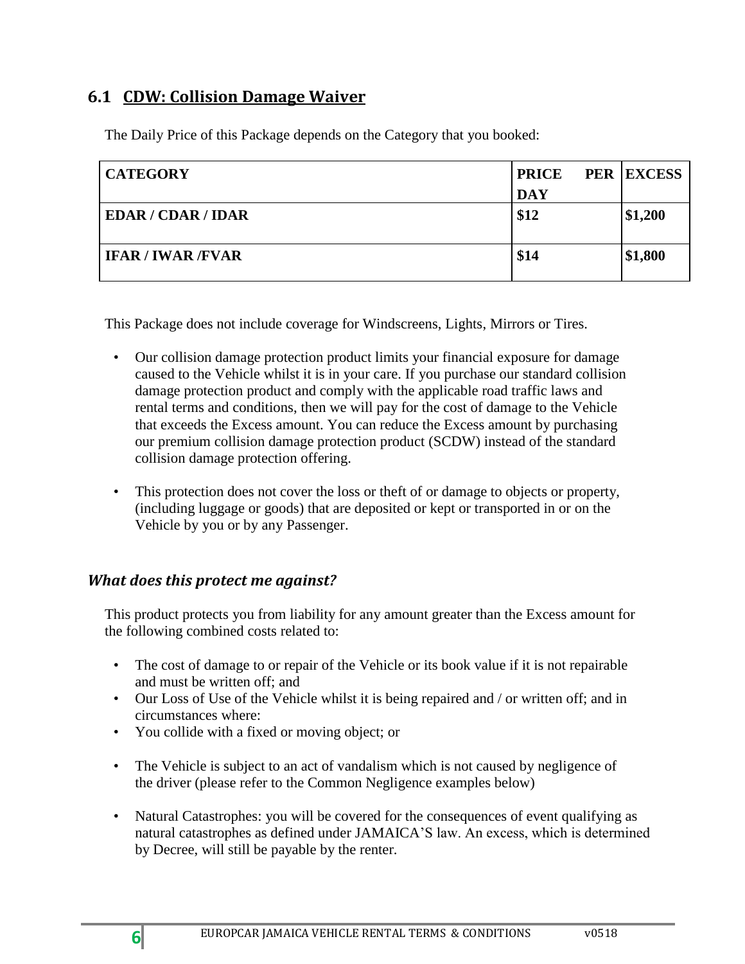### <span id="page-5-0"></span>**6.1 CDW: Collision Damage Waiver**

The Daily Price of this Package depends on the Category that you booked:

| <b>CATEGORY</b>           | <b>PRICE</b> | <b>PER EXCESS</b> |
|---------------------------|--------------|-------------------|
|                           | <b>DAY</b>   |                   |
| <b>EDAR / CDAR / IDAR</b> | \$12         | \$1,200           |
| <b>IFAR / IWAR /FVAR</b>  | \$14         | \$1,800           |

This Package does not include coverage for Windscreens, Lights, Mirrors or Tires.

- Our collision damage protection product limits your financial exposure for damage caused to the Vehicle whilst it is in your care. If you purchase our standard collision damage protection product and comply with the applicable road traffic laws and rental terms and conditions, then we will pay for the cost of damage to the Vehicle that exceeds the Excess amount. You can reduce the Excess amount by purchasing our premium collision damage protection product (SCDW) instead of the standard collision damage protection offering.
- This protection does not cover the loss or theft of or damage to objects or property, (including luggage or goods) that are deposited or kept or transported in or on the Vehicle by you or by any Passenger.

#### *What does this protect me against?*

This product protects you from liability for any amount greater than the Excess amount for the following combined costs related to:

- The cost of damage to or repair of the Vehicle or its book value if it is not repairable and must be written off; and
- Our Loss of Use of the Vehicle whilst it is being repaired and / or written off; and in circumstances where:
- You collide with a fixed or moving object; or
- The Vehicle is subject to an act of vandalism which is not caused by negligence of the driver (please refer to the Common Negligence examples below)
- Natural Catastrophes: you will be covered for the consequences of event qualifying as natural catastrophes as defined under JAMAICA'S law. An excess, which is determined by Decree, will still be payable by the renter.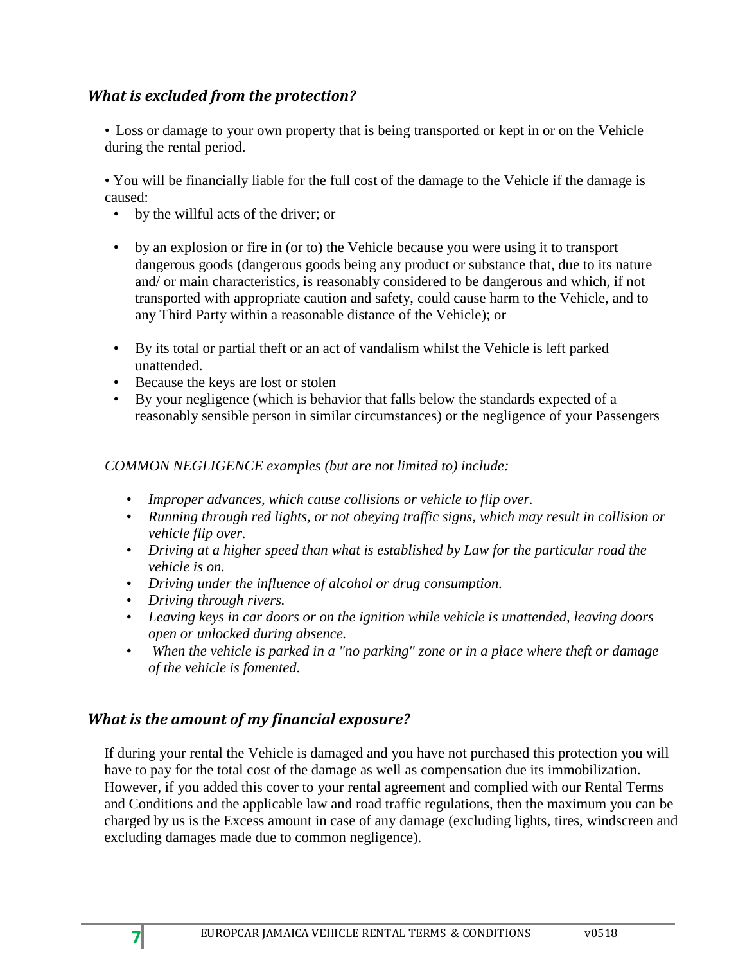#### *What is excluded from the protection?*

• Loss or damage to your own property that is being transported or kept in or on the Vehicle during the rental period.

• You will be financially liable for the full cost of the damage to the Vehicle if the damage is caused:

- by the willful acts of the driver; or
- by an explosion or fire in (or to) the Vehicle because you were using it to transport dangerous goods (dangerous goods being any product or substance that, due to its nature and/ or main characteristics, is reasonably considered to be dangerous and which, if not transported with appropriate caution and safety, could cause harm to the Vehicle, and to any Third Party within a reasonable distance of the Vehicle); or
- By its total or partial theft or an act of vandalism whilst the Vehicle is left parked unattended.
- Because the keys are lost or stolen
- By your negligence (which is behavior that falls below the standards expected of a reasonably sensible person in similar circumstances) or the negligence of your Passengers

#### *COMMON NEGLIGENCE examples (but are not limited to) include:*

- *Improper advances, which cause collisions or vehicle to flip over.*
- *Running through red lights, or not obeying traffic signs, which may result in collision or vehicle flip over.*
- *Driving at a higher speed than what is established by Law for the particular road the vehicle is on.*
- *Driving under the influence of alcohol or drug consumption.*
- *Driving through rivers.*
- *Leaving keys in car doors or on the ignition while vehicle is unattended, leaving doors open or unlocked during absence.*
- *When the vehicle is parked in a "no parking" zone or in a place where theft or damage of the vehicle is fomented.*

#### *What is the amount of my financial exposure?*

If during your rental the Vehicle is damaged and you have not purchased this protection you will have to pay for the total cost of the damage as well as compensation due its immobilization. However, if you added this cover to your rental agreement and complied with our Rental Terms and Conditions and the applicable law and road traffic regulations, then the maximum you can be charged by us is the Excess amount in case of any damage (excluding lights, tires, windscreen and excluding damages made due to common negligence).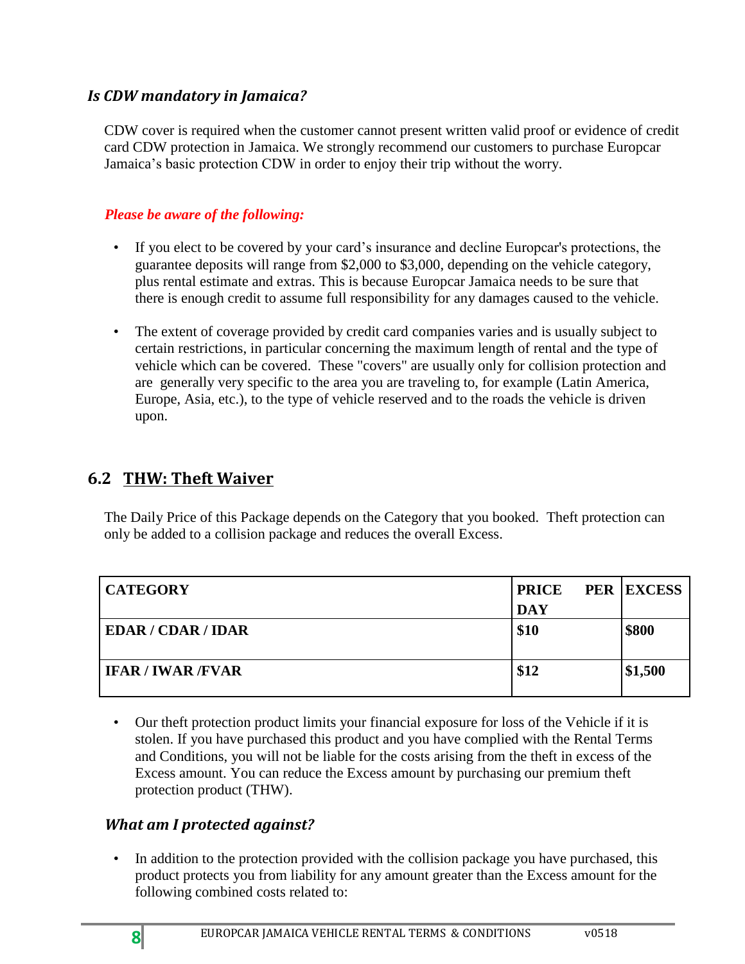#### *Is CDW mandatory in Jamaica?*

CDW cover is required when the customer cannot present written valid proof or evidence of credit card CDW protection in Jamaica. We strongly recommend our customers to purchase Europcar Jamaica's basic protection CDW in order to enjoy their trip without the worry.

#### *Please be aware of the following:*

- If you elect to be covered by your card's insurance and decline Europcar's protections, the guarantee deposits will range from \$2,000 to \$3,000, depending on the vehicle category, plus rental estimate and extras. This is because Europcar Jamaica needs to be sure that there is enough credit to assume full responsibility for any damages caused to the vehicle.
- The extent of coverage provided by credit card companies varies and is usually subject to certain restrictions, in particular concerning the maximum length of rental and the type of vehicle which can be covered. These "covers" are usually only for collision protection and are generally very specific to the area you are traveling to, for example (Latin America, Europe, Asia, etc.), to the type of vehicle reserved and to the roads the vehicle is driven upon.

#### <span id="page-7-0"></span>**6.2 THW: Theft Waiver**

The Daily Price of this Package depends on the Category that you booked. Theft protection can only be added to a collision package and reduces the overall Excess.

| <b>CATEGORY</b>           | <b>PRICE</b> | <b>PER EXCESS</b> |
|---------------------------|--------------|-------------------|
|                           | <b>DAY</b>   |                   |
| <b>EDAR / CDAR / IDAR</b> | \$10         | \$800             |
| <b>IFAR / IWAR / FVAR</b> | \$12         | \$1,500           |

• Our theft protection product limits your financial exposure for loss of the Vehicle if it is stolen. If you have purchased this product and you have complied with the Rental Terms and Conditions, you will not be liable for the costs arising from the theft in excess of the Excess amount. You can reduce the Excess amount by purchasing our premium theft protection product (THW).

#### *What am I protected against?*

In addition to the protection provided with the collision package you have purchased, this product protects you from liability for any amount greater than the Excess amount for the following combined costs related to: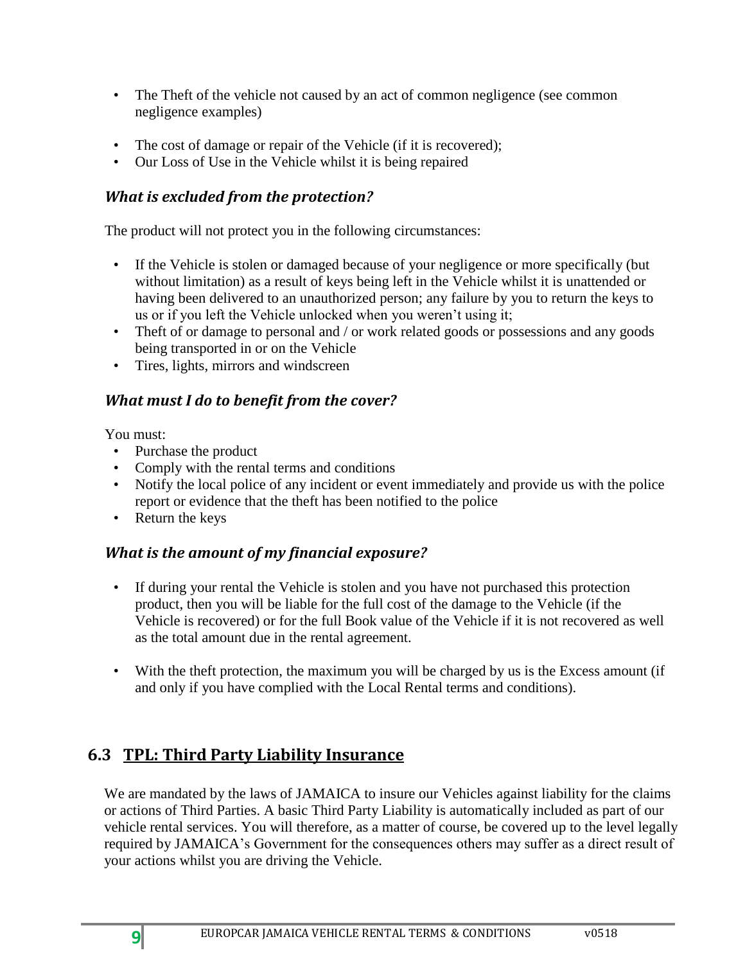- The Theft of the vehicle not caused by an act of common negligence (see common negligence examples)
- The cost of damage or repair of the Vehicle (if it is recovered);
- Our Loss of Use in the Vehicle whilst it is being repaired

#### *What is excluded from the protection?*

The product will not protect you in the following circumstances:

- If the Vehicle is stolen or damaged because of your negligence or more specifically (but without limitation) as a result of keys being left in the Vehicle whilst it is unattended or having been delivered to an unauthorized person; any failure by you to return the keys to us or if you left the Vehicle unlocked when you weren't using it;
- Theft of or damage to personal and / or work related goods or possessions and any goods being transported in or on the Vehicle
- Tires, lights, mirrors and windscreen

### *What must I do to benefit from the cover?*

You must:

- Purchase the product
- Comply with the rental terms and conditions
- Notify the local police of any incident or event immediately and provide us with the police report or evidence that the theft has been notified to the police
- Return the keys

## *What is the amount of my financial exposure?*

- If during your rental the Vehicle is stolen and you have not purchased this protection product, then you will be liable for the full cost of the damage to the Vehicle (if the Vehicle is recovered) or for the full Book value of the Vehicle if it is not recovered as well as the total amount due in the rental agreement.
- With the theft protection, the maximum you will be charged by us is the Excess amount (if and only if you have complied with the Local Rental terms and conditions).

# <span id="page-8-0"></span>**6.3 TPL: Third Party Liability Insurance**

We are mandated by the laws of JAMAICA to insure our Vehicles against liability for the claims or actions of Third Parties. A basic Third Party Liability is automatically included as part of our vehicle rental services. You will therefore, as a matter of course, be covered up to the level legally required by JAMAICA's Government for the consequences others may suffer as a direct result of your actions whilst you are driving the Vehicle.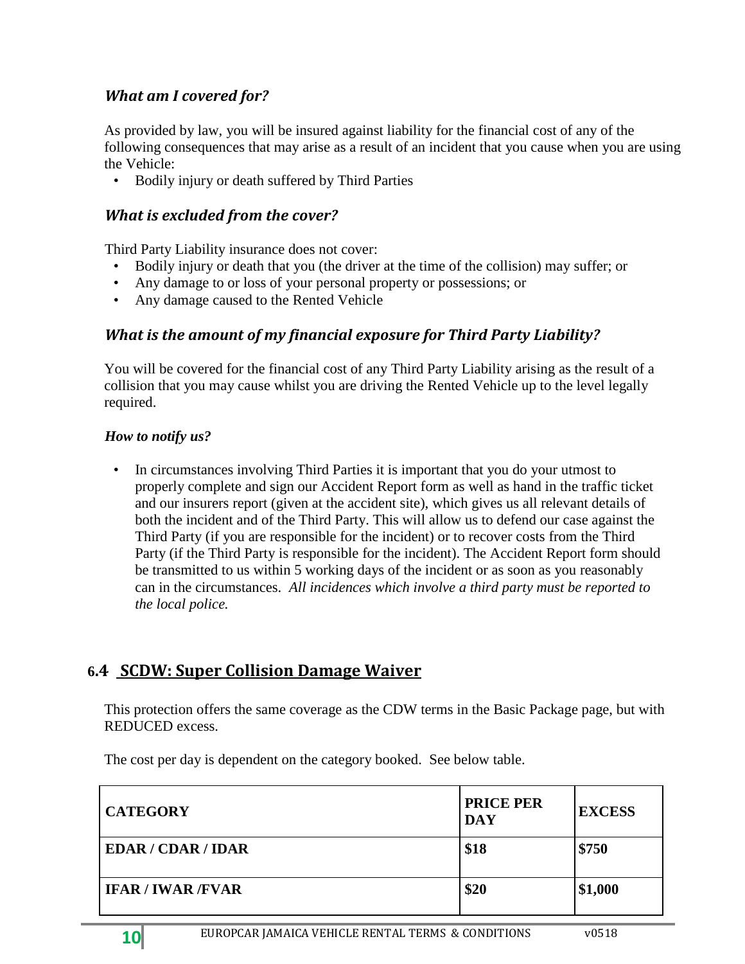#### *What am I covered for?*

As provided by law, you will be insured against liability for the financial cost of any of the following consequences that may arise as a result of an incident that you cause when you are using the Vehicle:

• Bodily injury or death suffered by Third Parties

#### *What is excluded from the cover?*

Third Party Liability insurance does not cover:

- Bodily injury or death that you (the driver at the time of the collision) may suffer; or
- Any damage to or loss of your personal property or possessions; or
- Any damage caused to the Rented Vehicle

#### *What is the amount of my financial exposure for Third Party Liability?*

You will be covered for the financial cost of any Third Party Liability arising as the result of a collision that you may cause whilst you are driving the Rented Vehicle up to the level legally required.

#### *How to notify us?*

• In circumstances involving Third Parties it is important that you do your utmost to properly complete and sign our Accident Report form as well as hand in the traffic ticket and our insurers report (given at the accident site), which gives us all relevant details of both the incident and of the Third Party. This will allow us to defend our case against the Third Party (if you are responsible for the incident) or to recover costs from the Third Party (if the Third Party is responsible for the incident). The Accident Report form should be transmitted to us within 5 working days of the incident or as soon as you reasonably can in the circumstances. *All incidences which involve a third party must be reported to the local police.*

## <span id="page-9-0"></span>**6.4 SCDW: Super Collision Damage Waiver**

This protection offers the same coverage as the CDW terms in the Basic Package page, but with REDUCED excess.

The cost per day is dependent on the category booked. See below table.

| <b>CATEGORY</b>           | <b>PRICE PER</b><br><b>DAY</b> | <b>EXCESS</b> |
|---------------------------|--------------------------------|---------------|
| <b>EDAR / CDAR / IDAR</b> | \$18                           | \$750         |
| <b>IFAR / IWAR / FVAR</b> | \$20                           | \$1,000       |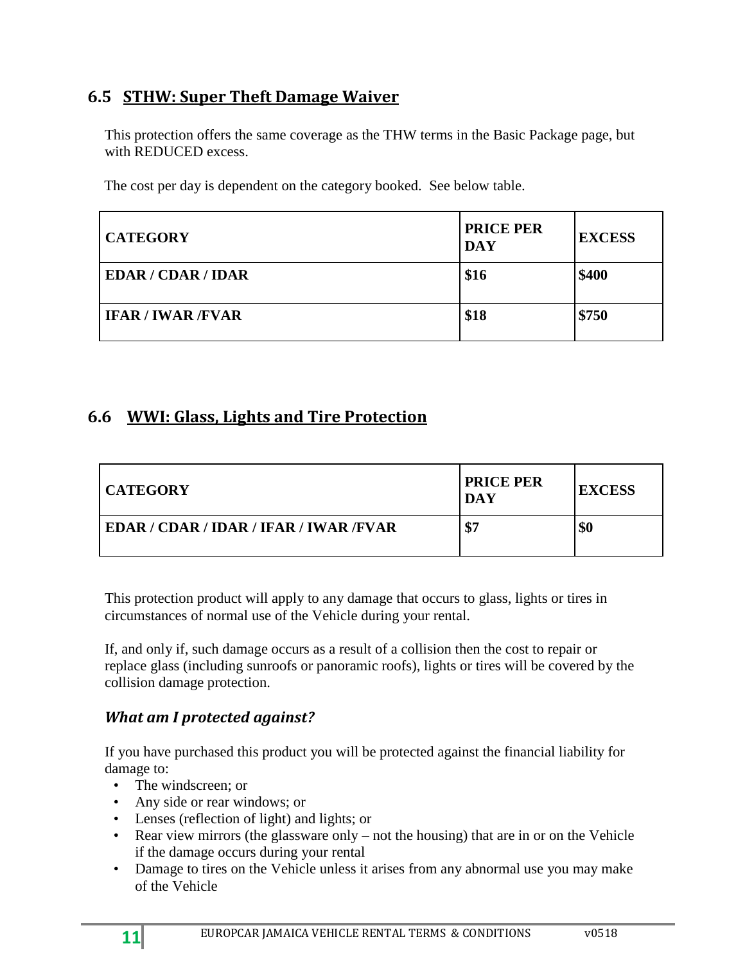## <span id="page-10-0"></span>**6.5 STHW: Super Theft Damage Waiver**

This protection offers the same coverage as the THW terms in the Basic Package page, but with REDUCED excess.

The cost per day is dependent on the category booked. See below table.

| <b>CATEGORY</b>           | <b>PRICE PER</b><br><b>DAY</b> | <b>EXCESS</b> |
|---------------------------|--------------------------------|---------------|
| <b>EDAR / CDAR / IDAR</b> | \$16                           | \$400         |
| <b>IFAR / IWAR /FVAR</b>  | \$18                           | \$750         |

### <span id="page-10-1"></span>**6.6 WWI: Glass, Lights and Tire Protection**

| <b>CATEGORY</b>                         | <b>PRICE PER</b><br>DAY | <b>EXCESS</b> |
|-----------------------------------------|-------------------------|---------------|
| EDAR / CDAR / IDAR / IFAR / IWAR / FVAR | \$7                     | \$0           |

This protection product will apply to any damage that occurs to glass, lights or tires in circumstances of normal use of the Vehicle during your rental.

If, and only if, such damage occurs as a result of a collision then the cost to repair or replace glass (including sunroofs or panoramic roofs), lights or tires will be covered by the collision damage protection.

#### *What am I protected against?*

If you have purchased this product you will be protected against the financial liability for damage to:

- The windscreen; or
- Any side or rear windows; or
- Lenses (reflection of light) and lights; or
- Rear view mirrors (the glassware only not the housing) that are in or on the Vehicle if the damage occurs during your rental
- Damage to tires on the Vehicle unless it arises from any abnormal use you may make of the Vehicle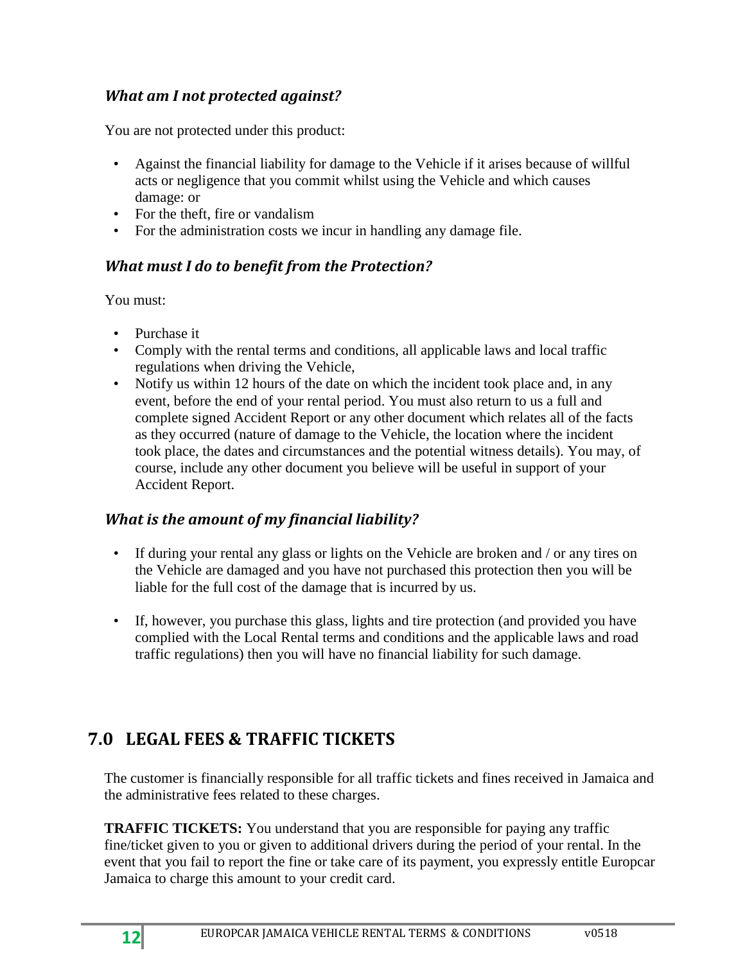## *What am I not protected against?*

You are not protected under this product:

- Against the financial liability for damage to the Vehicle if it arises because of willful acts or negligence that you commit whilst using the Vehicle and which causes damage: or
- For the theft, fire or vandalism
- For the administration costs we incur in handling any damage file.

### *What must I do to benefit from the Protection?*

You must:

- Purchase it
- Comply with the rental terms and conditions, all applicable laws and local traffic regulations when driving the Vehicle,
- Notify us within 12 hours of the date on which the incident took place and, in any event, before the end of your rental period. You must also return to us a full and complete signed Accident Report or any other document which relates all of the facts as they occurred (nature of damage to the Vehicle, the location where the incident took place, the dates and circumstances and the potential witness details). You may, of course, include any other document you believe will be useful in support of your Accident Report.

#### *What is the amount of my financial liability?*

- If during your rental any glass or lights on the Vehicle are broken and / or any tires on the Vehicle are damaged and you have not purchased this protection then you will be liable for the full cost of the damage that is incurred by us.
- If, however, you purchase this glass, lights and tire protection (and provided you have complied with the Local Rental terms and conditions and the applicable laws and road traffic regulations) then you will have no financial liability for such damage.

# <span id="page-11-0"></span>**7.0 LEGAL FEES & TRAFFIC TICKETS**

The customer is financially responsible for all traffic tickets and fines received in Jamaica and the administrative fees related to these charges.

**TRAFFIC TICKETS:** You understand that you are responsible for paying any traffic fine/ticket given to you or given to additional drivers during the period of your rental. In the event that you fail to report the fine or take care of its payment, you expressly entitle Europcar Jamaica to charge this amount to your credit card.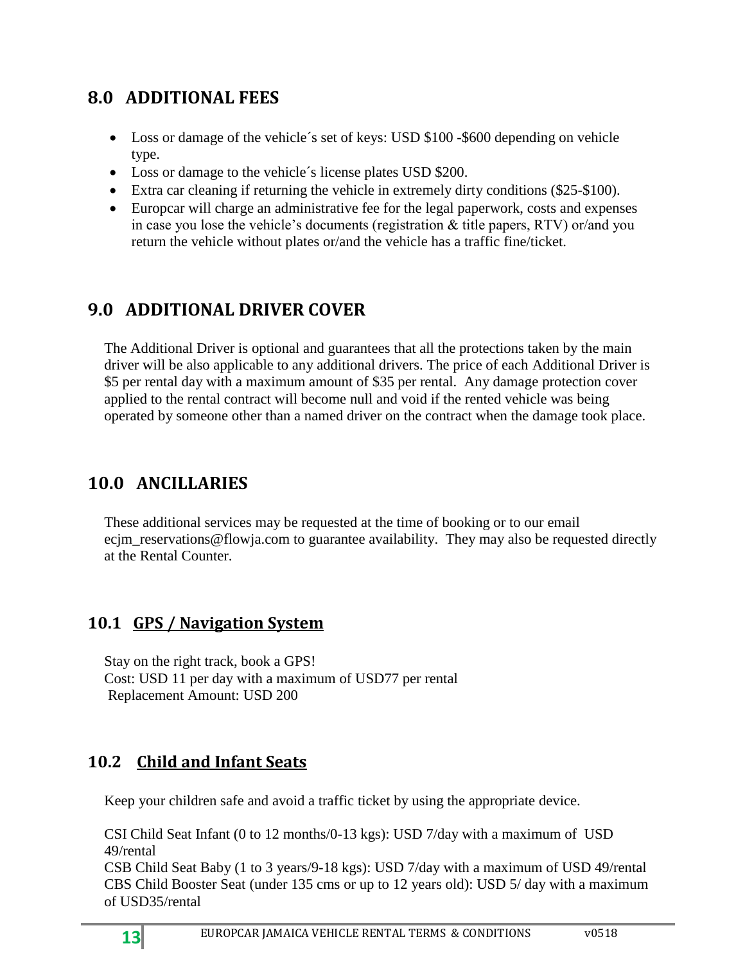# <span id="page-12-0"></span>**8.0 ADDITIONAL FEES**

- Loss or damage of the vehicle's set of keys: USD \$100 -\$600 depending on vehicle type.
- Loss or damage to the vehicle's license plates USD \$200.
- Extra car cleaning if returning the vehicle in extremely dirty conditions (\$25-\$100).
- Europcar will charge an administrative fee for the legal paperwork, costs and expenses in case you lose the vehicle's documents (registration & title papers, RTV) or/and you return the vehicle without plates or/and the vehicle has a traffic fine/ticket.

# <span id="page-12-1"></span>**9.0 ADDITIONAL DRIVER COVER**

The Additional Driver is optional and guarantees that all the protections taken by the main driver will be also applicable to any additional drivers. The price of each Additional Driver is \$5 per rental day with a maximum amount of \$35 per rental. Any damage protection cover applied to the rental contract will become null and void if the rented vehicle was being operated by someone other than a named driver on the contract when the damage took place.

# <span id="page-12-2"></span>**10.0 ANCILLARIES**

These additional services may be requested at the time of booking or to our email ecjm\_reservations@flowja.com to guarantee availability. They may also be requested directly at the Rental Counter.

# <span id="page-12-3"></span>**10.1 GPS / Navigation System**

Stay on the right track, book a GPS! Cost: USD 11 per day with a maximum of USD77 per rental Replacement Amount: USD 200

# <span id="page-12-4"></span>**10.2 Child and Infant Seats**

Keep your children safe and avoid a traffic ticket by using the appropriate device.

CSI Child Seat Infant (0 to 12 months/0-13 kgs): USD 7/day with a maximum of USD 49/rental

CSB Child Seat Baby (1 to 3 years/9-18 kgs): USD 7/day with a maximum of USD 49/rental CBS Child Booster Seat (under 135 cms or up to 12 years old): USD 5/ day with a maximum of USD35/rental